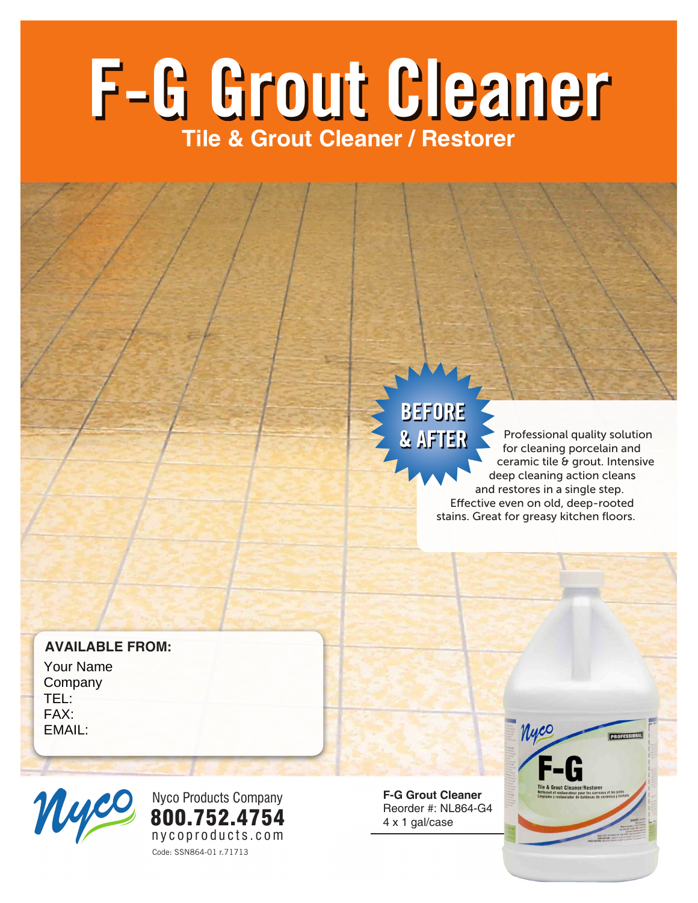## **F-G Grout Cleaner Tile & Grout Cleaner / Restorer**

### BEFORE & AFTER

Professional quality solution for cleaning porcelain and ceramic tile & grout. Intensive deep cleaning action cleans and restores in a single step. Effective even on old, deep-rooted stains. Great for greasy kitchen floors.

#### **AVAILABLE FROM:**

Your Name Company TEL: FAX: EMAIL:



Nyco Products Company Muyeo Nyco Products Company nycoproducts.com Code: SSN864-01 r.71713

**F-G Grout Cleaner** Reorder #: NL864-G4 4 x 1 gal/case